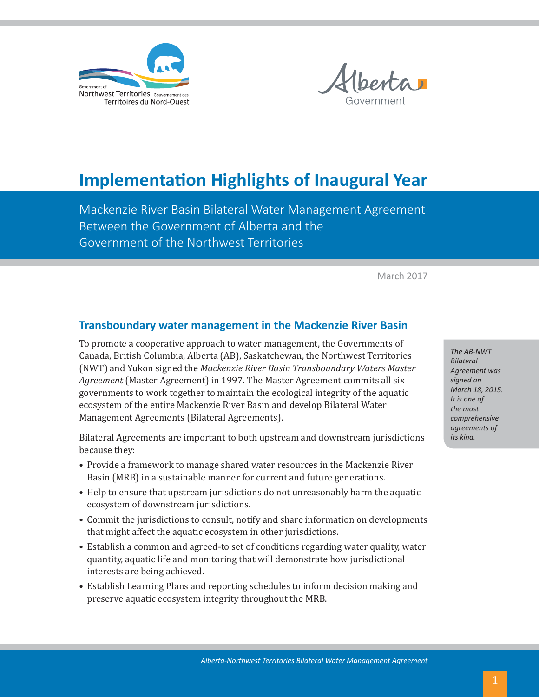



# **Implementation Highlights of Inaugural Year**

Mackenzie River Basin Bilateral Water Management Agreement Between the Government of Alberta and the Government of the Northwest Territories

March 2017

# **Transboundary water management in the Mackenzie River Basin**

To promote a cooperative approach to water management, the Governments of Canada, British Columbia, Alberta (AB), Saskatchewan, the Northwest Territories (NWT) and Yukon signed the *Mackenzie River Basin Transboundary Waters Master Agreement* (Master Agreement) in 1997. The Master Agreement commits all six governments to work together to maintain the ecological integrity of the aquatic ecosystem of the entire Mackenzie River Basin and develop Bilateral Water Management Agreements (Bilateral Agreements).

Bilateral Agreements are important to both upstream and downstream jurisdictions because they:

- Provide a framework to manage shared water resources in the Mackenzie River Basin (MRB) in a sustainable manner for current and future generations.
- Help to ensure that upstream jurisdictions do not unreasonably harm the aquatic ecosystem of downstream jurisdictions.
- Commit the jurisdictions to consult, notify and share information on developments that might affect the aquatic ecosystem in other jurisdictions.
- Establish a common and agreed-to set of conditions regarding water quality, water quantity, aquatic life and monitoring that will demonstrate how jurisdictional interests are being achieved.
- Establish Learning Plans and reporting schedules to inform decision making and preserve aquatic ecosystem integrity throughout the MRB.

*The AB-NWT Bilateral Agreement was signed on March 18, 2015. It is one of the most comprehensive agreements of its kind.*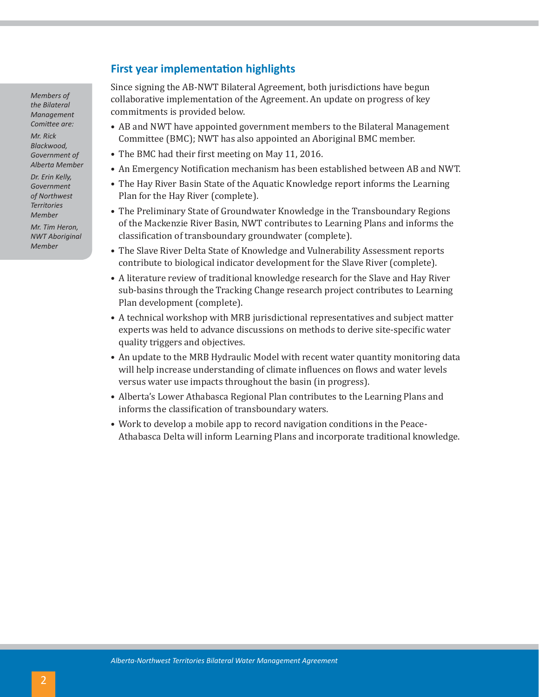*Members of the Bilateral Management Comittee are: Mr. Rick Blackwood,* 

*Government of Alberta Member*

*Dr. Erin Kelly, Government of Northwest Territories Member Mr. Tim Heron,* 

*NWT Aboriginal Member*

# **First year implementation highlights**

Since signing the AB-NWT Bilateral Agreement, both jurisdictions have begun collaborative implementation of the Agreement. An update on progress of key commitments is provided below.

- AB and NWT have appointed government members to the Bilateral Management Committee (BMC); NWT has also appointed an Aboriginal BMC member.
- The BMC had their first meeting on May 11, 2016.
- An Emergency Notification mechanism has been established between AB and NWT.
- The Hay River Basin State of the Aquatic Knowledge report informs the Learning Plan for the Hay River (complete).
- The Preliminary State of Groundwater Knowledge in the Transboundary Regions of the Mackenzie River Basin, NWT contributes to Learning Plans and informs the classification of transboundary groundwater (complete).
- The Slave River Delta State of Knowledge and Vulnerability Assessment reports contribute to biological indicator development for the Slave River (complete).
- A literature review of traditional knowledge research for the Slave and Hay River sub-basins through the Tracking Change research project contributes to Learning Plan development (complete).
- A technical workshop with MRB jurisdictional representatives and subject matter experts was held to advance discussions on methods to derive site-specific water quality triggers and objectives.
- An update to the MRB Hydraulic Model with recent water quantity monitoring data will help increase understanding of climate influences on flows and water levels versus water use impacts throughout the basin (in progress).
- Alberta's Lower Athabasca Regional Plan contributes to the Learning Plans and informs the classification of transboundary waters.
- Work to develop a mobile app to record navigation conditions in the Peace-Athabasca Delta will inform Learning Plans and incorporate traditional knowledge.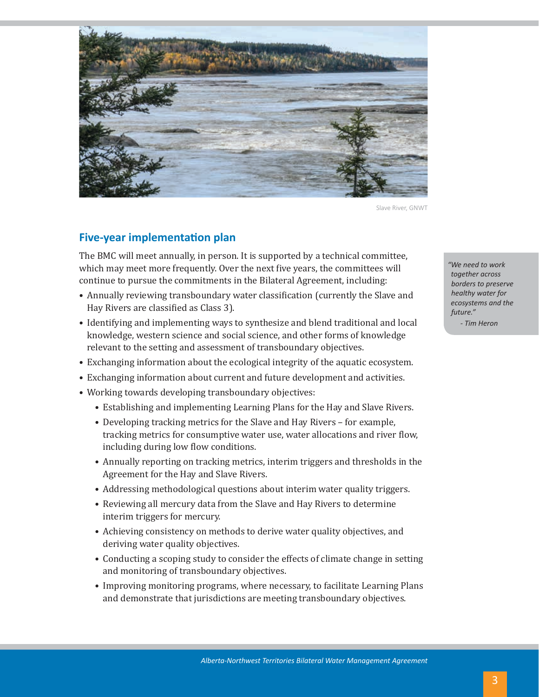

Slave River, GNWT

# **Five-year implementation plan**

The BMC will meet annually, in person. It is supported by a technical committee, which may meet more frequently. Over the next five years, the committees will continue to pursue the commitments in the Bilateral Agreement, including:

- Annually reviewing transboundary water classification (currently the Slave and Hay Rivers are classified as Class 3).
- Identifying and implementing ways to synthesize and blend traditional and local knowledge, western science and social science, and other forms of knowledge relevant to the setting and assessment of transboundary objectives.
- Exchanging information about the ecological integrity of the aquatic ecosystem.
- Exchanging information about current and future development and activities.
- Working towards developing transboundary objectives:
	- Establishing and implementing Learning Plans for the Hay and Slave Rivers.
	- Developing tracking metrics for the Slave and Hay Rivers for example, tracking metrics for consumptive water use, water allocations and river flow, including during low flow conditions.
	- Annually reporting on tracking metrics, interim triggers and thresholds in the Agreement for the Hay and Slave Rivers.
	- Addressing methodological questions about interim water quality triggers.
	- Reviewing all mercury data from the Slave and Hay Rivers to determine interim triggers for mercury.
	- Achieving consistency on methods to derive water quality objectives, and deriving water quality objectives.
	- Conducting a scoping study to consider the effects of climate change in setting and monitoring of transboundary objectives.
	- Improving monitoring programs, where necessary, to facilitate Learning Plans and demonstrate that jurisdictions are meeting transboundary objectives.

*"We need to work together across borders to preserve healthy water for ecosystems and the future."*

*- Tim Heron*